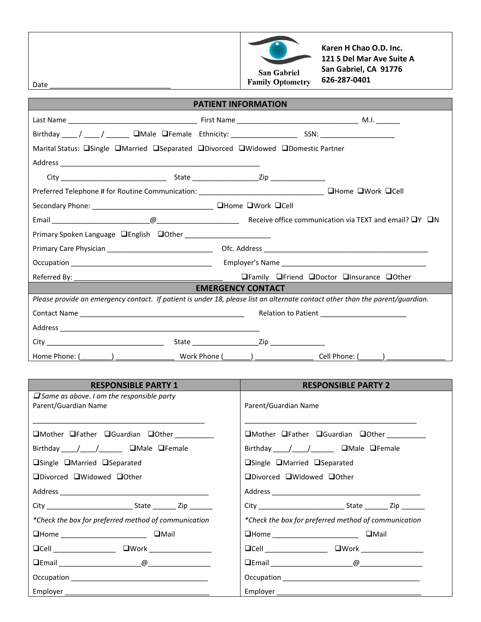

**Karen H Chao O.D. Inc. 121 S Del Mar Ave Suite A San Gabriel, CA 91776 626-287-0401**

Date

## **PATIENT INFORMATION**

| Marital Status: <u>OSingle</u> <b>OMarried OSeparated ODivorced OWidowed ODomestic Partner</b>                                |                                           |  |  |  |  |
|-------------------------------------------------------------------------------------------------------------------------------|-------------------------------------------|--|--|--|--|
|                                                                                                                               |                                           |  |  |  |  |
|                                                                                                                               |                                           |  |  |  |  |
|                                                                                                                               |                                           |  |  |  |  |
|                                                                                                                               |                                           |  |  |  |  |
|                                                                                                                               |                                           |  |  |  |  |
|                                                                                                                               |                                           |  |  |  |  |
|                                                                                                                               |                                           |  |  |  |  |
|                                                                                                                               |                                           |  |  |  |  |
|                                                                                                                               | □Family □Friend □Doctor □Insurance □Other |  |  |  |  |
| <b>EMERGENCY CONTACT</b>                                                                                                      |                                           |  |  |  |  |
| Please provide an emergency contact. If patient is under 18, please list an alternate contact other than the parent/guardian. |                                           |  |  |  |  |
| Relation to Patient Management Patient Management Patient Patient Patient Patient Patient Patient Patient Pati                |                                           |  |  |  |  |
|                                                                                                                               |                                           |  |  |  |  |
|                                                                                                                               |                                           |  |  |  |  |
|                                                                                                                               |                                           |  |  |  |  |

| <b>RESPONSIBLE PARTY 1</b>                                               | <b>RESPONSIBLE PARTY 2</b>                           |  |  |
|--------------------------------------------------------------------------|------------------------------------------------------|--|--|
| $\Box$ Same as above. I am the responsible party<br>Parent/Guardian Name | Parent/Guardian Name                                 |  |  |
| □Mother □Father □Guardian □Other _________                               | □Mother □Father □Guardian □Other ________            |  |  |
| Birthday / / / / DMale OFemale                                           | Birthday ____/____/_______ OMale OFemale             |  |  |
| <b>■Single ■Married ■Separated</b>                                       | <b>■Single ■Married ■Separated</b>                   |  |  |
| □Divorced □Widowed □Other                                                | □Divorced □Widowed □Other                            |  |  |
|                                                                          |                                                      |  |  |
|                                                                          |                                                      |  |  |
| *Check the box for preferred method of communication                     | *Check the box for preferred method of communication |  |  |
|                                                                          |                                                      |  |  |
| $\Box$ Cell $\Box$                                                       | $\Box$ Cell $\Box$<br>□Work __________________       |  |  |
|                                                                          |                                                      |  |  |
|                                                                          |                                                      |  |  |
|                                                                          |                                                      |  |  |